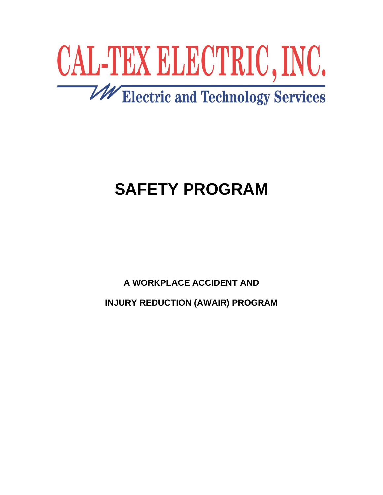

# **SAFETY PROGRAM**

**A WORKPLACE ACCIDENT AND**

**INJURY REDUCTION (AWAIR) PROGRAM**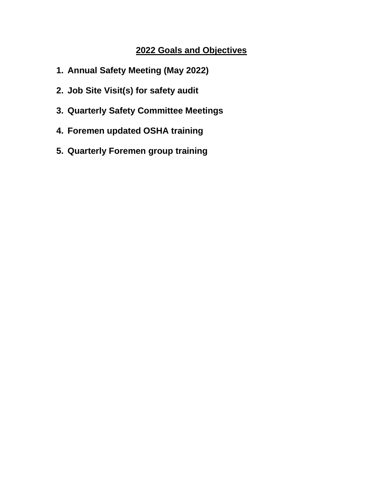# **2022 Goals and Objectives**

- **1. Annual Safety Meeting (May 2022)**
- **2. Job Site Visit(s) for safety audit**
- **3. Quarterly Safety Committee Meetings**
- **4. Foremen updated OSHA training**
- **5. Quarterly Foremen group training**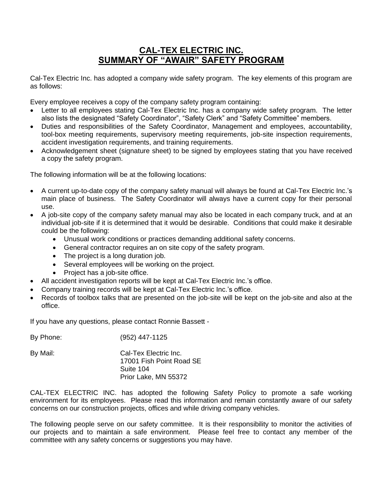# **CAL-TEX ELECTRIC INC. SUMMARY OF "AWAIR" SAFETY PROGRAM**

Cal-Tex Electric Inc. has adopted a company wide safety program. The key elements of this program are as follows:

Every employee receives a copy of the company safety program containing:

- Letter to all employees stating Cal-Tex Electric Inc. has a company wide safety program. The letter also lists the designated "Safety Coordinator", "Safety Clerk" and "Safety Committee" members.
- Duties and responsibilities of the Safety Coordinator, Management and employees, accountability, tool-box meeting requirements, supervisory meeting requirements, job-site inspection requirements, accident investigation requirements, and training requirements.
- Acknowledgement sheet (signature sheet) to be signed by employees stating that you have received a copy the safety program.

The following information will be at the following locations:

- A current up-to-date copy of the company safety manual will always be found at Cal-Tex Electric Inc.'s main place of business. The Safety Coordinator will always have a current copy for their personal use.
- A job-site copy of the company safety manual may also be located in each company truck, and at an individual job-site if it is determined that it would be desirable. Conditions that could make it desirable could be the following:
	- Unusual work conditions or practices demanding additional safety concerns.
	- General contractor requires an on site copy of the safety program.
	- The project is a long duration job.
	- Several employees will be working on the project.
	- Project has a job-site office.
- All accident investigation reports will be kept at Cal-Tex Electric Inc.'s office.
- Company training records will be kept at Cal-Tex Electric Inc.'s office.
- Records of toolbox talks that are presented on the job-site will be kept on the job-site and also at the office.

If you have any questions, please contact Ronnie Bassett -

By Phone: (952) 447-1125

| By Mail: | Cal-Tex Electric Inc.    |
|----------|--------------------------|
|          | 17001 Fish Point Road SE |
|          | Suite 104                |
|          | Prior Lake, MN 55372     |

CAL-TEX ELECTRIC INC. has adopted the following Safety Policy to promote a safe working environment for its employees. Please read this information and remain constantly aware of our safety concerns on our construction projects, offices and while driving company vehicles.

The following people serve on our safety committee. It is their responsibility to monitor the activities of our projects and to maintain a safe environment. Please feel free to contact any member of the committee with any safety concerns or suggestions you may have.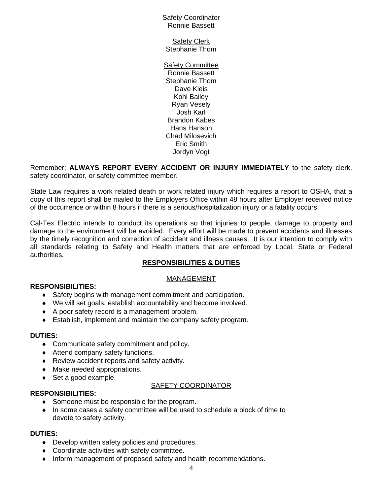#### Safety Coordinator Ronnie Bassett

Safety Clerk Stephanie Thom

Safety Committee Ronnie Bassett Stephanie Thom Dave Kleis Kohl Bailey Ryan Vesely Josh Karl Brandon Kabes Hans Hanson Chad Milosevich Eric Smith Jordyn Vogt

Remember; **ALWAYS REPORT EVERY ACCIDENT OR INJURY IMMEDIATELY** to the safety clerk, safety coordinator, or safety committee member.

State Law requires a work related death or work related injury which requires a report to OSHA, that a copy of this report shall be mailed to the Employers Office within 48 hours after Employer received notice of the occurrence or within 8 hours if there is a serious/hospitalization injury or a fatality occurs.

Cal-Tex Electric intends to conduct its operations so that injuries to people, damage to property and damage to the environment will be avoided. Every effort will be made to prevent accidents and illnesses by the timely recognition and correction of accident and illness causes. It is our intention to comply with all standards relating to Safety and Health matters that are enforced by Local, State or Federal authorities.

#### **RESPONSIBILITIES & DUTIES**

#### MANAGEMENT

#### **RESPONSIBILITIES:**

- Safety begins with management commitment and participation.
- We will set goals, establish accountability and become involved.
- ◆ A poor safety record is a management problem.
- Establish, implement and maintain the company safety program.

#### **DUTIES:**

- Communicate safety commitment and policy.
- ◆ Attend company safety functions.
- ◆ Review accident reports and safety activity.
- Make needed appropriations.
- ◆ Set a good example.

#### SAFETY COORDINATOR

- **RESPONSIBILITIES:**
	- ◆ Someone must be responsible for the program.
	- In some cases a safety committee will be used to schedule a block of time to devote to safety activity.

#### **DUTIES:**

- ◆ Develop written safety policies and procedures.
- ◆ Coordinate activities with safety committee.
- $\bullet$  Inform management of proposed safety and health recommendations.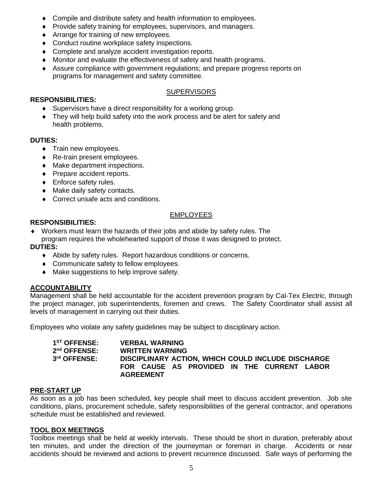- Compile and distribute safety and health information to employees.
- Provide safety training for employees, supervisors, and managers.
- ◆ Arrange for training of new employees.
- ◆ Conduct routine workplace safety inspections.
- Complete and analyze accident investigation reports.
- Monitor and evaluate the effectiveness of safety and health programs.
- Assure compliance with government regulations; and prepare progress reports on programs for management and safety committee.

#### **SUPERVISORS**

## **RESPONSIBILITIES:**

- Supervisors have a direct responsibility for a working group.
- They will help build safety into the work process and be alert for safety and health problems.

## **DUTIES:**

- **Train new employees.**
- ◆ Re-train present employees.
- Make department inspections.
- Prepare accident reports.
- ◆ Enforce safety rules.
- $\bullet$  Make daily safety contacts.
- ◆ Correct unsafe acts and conditions.

## EMPLOYEES

## **RESPONSIBILITIES:**

 Workers must learn the hazards of their jobs and abide by safety rules. The program requires the wholehearted support of those it was designed to protect.

## **DUTIES:**

- Abide by safety rules. Report hazardous conditions or concerns.
- Communicate safety to fellow employees.
- $\bullet$  Make suggestions to help improve safety.

# **ACCOUNTABILITY**

Management shall be held accountable for the accident prevention program by Cal-Tex Electric, through the project manager, job superintendents, foremen and crews. The Safety Coordinator shall assist all levels of management in carrying out their duties.

Employees who violate any safety guidelines may be subject to disciplinary action.

| 1 <sup>ST</sup> OFFENSE: | <b>VERBAL WARNING</b>                              |
|--------------------------|----------------------------------------------------|
| $2nd$ OFFENSE:           | <b>WRITTEN WARNING</b>                             |
| 3rd OFFENSE:             | DISCIPLINARY ACTION, WHICH COULD INCLUDE DISCHARGE |
|                          | FOR CAUSE AS PROVIDED IN THE CURRENT LABOR         |
|                          | <b>AGREEMENT</b>                                   |

#### **PRE-START UP**

As soon as a job has been scheduled, key people shall meet to discuss accident prevention. Job site conditions, plans, procurement schedule, safety responsibilities of the general contractor, and operations schedule must be established and reviewed.

#### **TOOL BOX MEETINGS**

Toolbox meetings shall be held at weekly intervals. These should be short in duration, preferably about ten minutes, and under the direction of the journeyman or foreman in charge. Accidents or near accidents should be reviewed and actions to prevent recurrence discussed. Safe ways of performing the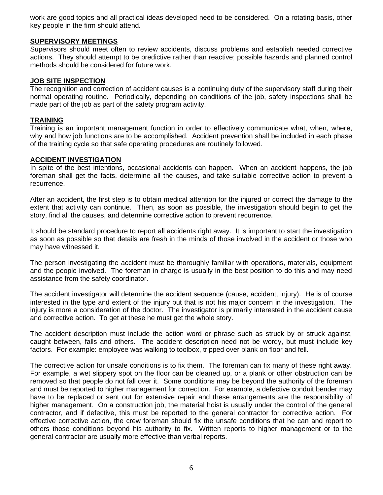work are good topics and all practical ideas developed need to be considered. On a rotating basis, other key people in the firm should attend.

#### **SUPERVISORY MEETINGS**

Supervisors should meet often to review accidents, discuss problems and establish needed corrective actions. They should attempt to be predictive rather than reactive; possible hazards and planned control methods should be considered for future work.

#### **JOB SITE INSPECTION**

The recognition and correction of accident causes is a continuing duty of the supervisory staff during their normal operating routine. Periodically, depending on conditions of the job, safety inspections shall be made part of the job as part of the safety program activity.

#### **TRAINING**

Training is an important management function in order to effectively communicate what, when, where, why and how job functions are to be accomplished. Accident prevention shall be included in each phase of the training cycle so that safe operating procedures are routinely followed.

#### **ACCIDENT INVESTIGATION**

In spite of the best intentions, occasional accidents can happen. When an accident happens, the job foreman shall get the facts, determine all the causes, and take suitable corrective action to prevent a recurrence.

After an accident, the first step is to obtain medical attention for the injured or correct the damage to the extent that activity can continue. Then, as soon as possible, the investigation should begin to get the story, find all the causes, and determine corrective action to prevent recurrence.

It should be standard procedure to report all accidents right away. It is important to start the investigation as soon as possible so that details are fresh in the minds of those involved in the accident or those who may have witnessed it.

The person investigating the accident must be thoroughly familiar with operations, materials, equipment and the people involved. The foreman in charge is usually in the best position to do this and may need assistance from the safety coordinator.

The accident investigator will determine the accident sequence (cause, accident, injury). He is of course interested in the type and extent of the injury but that is not his major concern in the investigation. The injury is more a consideration of the doctor. The investigator is primarily interested in the accident cause and corrective action. To get at these he must get the whole story.

The accident description must include the action word or phrase such as struck by or struck against, caught between, falls and others. The accident description need not be wordy, but must include key factors. For example: employee was walking to toolbox, tripped over plank on floor and fell.

The corrective action for unsafe conditions is to fix them. The foreman can fix many of these right away. For example, a wet slippery spot on the floor can be cleaned up, or a plank or other obstruction can be removed so that people do not fall over it. Some conditions may be beyond the authority of the foreman and must be reported to higher management for correction. For example, a defective conduit bender may have to be replaced or sent out for extensive repair and these arrangements are the responsibility of higher management. On a construction job, the material hoist is usually under the control of the general contractor, and if defective, this must be reported to the general contractor for corrective action. For effective corrective action, the crew foreman should fix the unsafe conditions that he can and report to others those conditions beyond his authority to fix. Written reports to higher management or to the general contractor are usually more effective than verbal reports.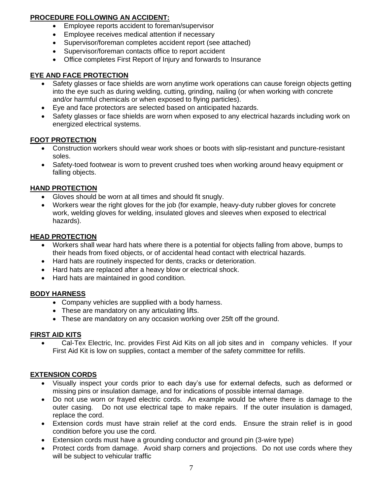# **PROCEDURE FOLLOWING AN ACCIDENT:**

- Employee reports accident to foreman/supervisor
- Employee receives medical attention if necessary
- Supervisor/foreman completes accident report (see attached)
- Supervisor/foreman contacts office to report accident
- Office completes First Report of Injury and forwards to Insurance

# **EYE AND FACE PROTECTION**

- Safety glasses or face shields are worn anytime work operations can cause foreign objects getting into the eye such as during welding, cutting, grinding, nailing (or when working with concrete and/or harmful chemicals or when exposed to flying particles).
- Eye and face protectors are selected based on anticipated hazards.
- Safety glasses or face shields are worn when exposed to any electrical hazards including work on energized electrical systems.

# **FOOT PROTECTION**

- Construction workers should wear work shoes or boots with slip-resistant and puncture-resistant soles.
- Safety-toed footwear is worn to prevent crushed toes when working around heavy equipment or falling objects.

# **HAND PROTECTION**

- Gloves should be worn at all times and should fit snugly.
- Workers wear the right gloves for the job (for example, heavy-duty rubber gloves for concrete work, welding gloves for welding, insulated gloves and sleeves when exposed to electrical hazards).

## **HEAD PROTECTION**

- Workers shall wear hard hats where there is a potential for objects falling from above, bumps to their heads from fixed objects, or of accidental head contact with electrical hazards.
- Hard hats are routinely inspected for dents, cracks or deterioration.
- Hard hats are replaced after a heavy blow or electrical shock.
- Hard hats are maintained in good condition.

# **BODY HARNESS**

- Company vehicles are supplied with a body harness.
- These are mandatory on any articulating lifts.
- These are mandatory on any occasion working over 25ft off the ground.

# **FIRST AID KITS**

• Cal-Tex Electric, Inc. provides First Aid Kits on all job sites and in company vehicles. If your First Aid Kit is low on supplies, contact a member of the safety committee for refills.

# **EXTENSION CORDS**

- Visually inspect your cords prior to each day's use for external defects, such as deformed or missing pins or insulation damage, and for indications of possible internal damage.
- Do not use worn or frayed electric cords. An example would be where there is damage to the outer casing. Do not use electrical tape to make repairs. If the outer insulation is damaged, replace the cord.
- Extension cords must have strain relief at the cord ends. Ensure the strain relief is in good condition before you use the cord.
- Extension cords must have a grounding conductor and ground pin (3-wire type)
- Protect cords from damage. Avoid sharp corners and projections. Do not use cords where they will be subject to vehicular traffic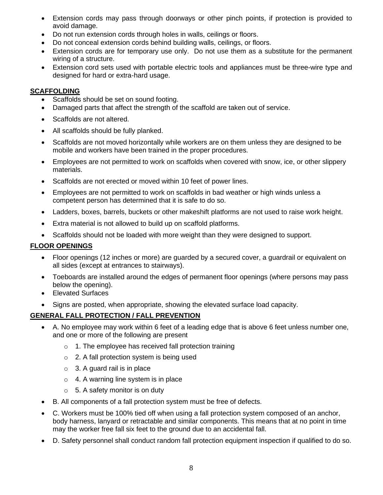- Extension cords may pass through doorways or other pinch points, if protection is provided to avoid damage.
- Do not run extension cords through holes in walls, ceilings or floors.
- Do not conceal extension cords behind building walls, ceilings, or floors.
- Extension cords are for temporary use only. Do not use them as a substitute for the permanent wiring of a structure.
- Extension cord sets used with portable electric tools and appliances must be three-wire type and designed for hard or extra-hard usage.

#### **SCAFFOLDING**

- Scaffolds should be set on sound footing.
- Damaged parts that affect the strength of the scaffold are taken out of service.
- Scaffolds are not altered.
- All scaffolds should be fully planked.
- Scaffolds are not moved horizontally while workers are on them unless they are designed to be mobile and workers have been trained in the proper procedures.
- Employees are not permitted to work on scaffolds when covered with snow, ice, or other slippery materials.
- Scaffolds are not erected or moved within 10 feet of power lines.
- Employees are not permitted to work on scaffolds in bad weather or high winds unless a competent person has determined that it is safe to do so.
- Ladders, boxes, barrels, buckets or other makeshift platforms are not used to raise work height.
- Extra material is not allowed to build up on scaffold platforms.
- Scaffolds should not be loaded with more weight than they were designed to support.

## **FLOOR OPENINGS**

- Floor openings (12 inches or more) are guarded by a secured cover, a guardrail or equivalent on all sides (except at entrances to stairways).
- Toeboards are installed around the edges of permanent floor openings (where persons may pass below the opening).
- Elevated Surfaces
- Signs are posted, when appropriate, showing the elevated surface load capacity.

# **GENERAL FALL PROTECTION / FALL PREVENTION**

- A. No employee may work within 6 feet of a leading edge that is above 6 feet unless number one, and one or more of the following are present
	- o 1. The employee has received fall protection training
	- o 2. A fall protection system is being used
	- $\circ$  3. A guard rail is in place
	- $\circ$  4. A warning line system is in place
	- $\circ$  5. A safety monitor is on duty
- B. All components of a fall protection system must be free of defects.
- C. Workers must be 100% tied off when using a fall protection system composed of an anchor, body harness, lanyard or retractable and similar components. This means that at no point in time may the worker free fall six feet to the ground due to an accidental fall.
- D. Safety personnel shall conduct random fall protection equipment inspection if qualified to do so.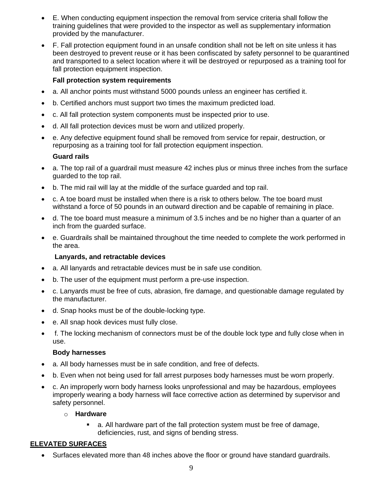- E. When conducting equipment inspection the removal from service criteria shall follow the training guidelines that were provided to the inspector as well as supplementary information provided by the manufacturer.
- F. Fall protection equipment found in an unsafe condition shall not be left on site unless it has been destroyed to prevent reuse or it has been confiscated by safety personnel to be quarantined and transported to a select location where it will be destroyed or repurposed as a training tool for fall protection equipment inspection.

# **Fall protection system requirements**

- a. All anchor points must withstand 5000 pounds unless an engineer has certified it.
- b. Certified anchors must support two times the maximum predicted load.
- c. All fall protection system components must be inspected prior to use.
- d. All fall protection devices must be worn and utilized properly.
- e. Any defective equipment found shall be removed from service for repair, destruction, or repurposing as a training tool for fall protection equipment inspection.

# **Guard rails**

- a. The top rail of a guardrail must measure 42 inches plus or minus three inches from the surface guarded to the top rail.
- b. The mid rail will lay at the middle of the surface guarded and top rail.
- c. A toe board must be installed when there is a risk to others below. The toe board must withstand a force of 50 pounds in an outward direction and be capable of remaining in place.
- d. The toe board must measure a minimum of 3.5 inches and be no higher than a quarter of an inch from the guarded surface.
- e. Guardrails shall be maintained throughout the time needed to complete the work performed in the area.

# **Lanyards, and retractable devices**

- a. All lanyards and retractable devices must be in safe use condition.
- b. The user of the equipment must perform a pre-use inspection.
- c. Lanyards must be free of cuts, abrasion, fire damage, and questionable damage regulated by the manufacturer.
- d. Snap hooks must be of the double-locking type.
- e. All snap hook devices must fully close.
- f. The locking mechanism of connectors must be of the double lock type and fully close when in use.

# **Body harnesses**

- a. All body harnesses must be in safe condition, and free of defects.
- b. Even when not being used for fall arrest purposes body harnesses must be worn properly.
- c. An improperly worn body harness looks unprofessional and may be hazardous, employees improperly wearing a body harness will face corrective action as determined by supervisor and safety personnel.

# o **Hardware**

a. All hardware part of the fall protection system must be free of damage, deficiencies, rust, and signs of bending stress.

# **ELEVATED SURFACES**

• Surfaces elevated more than 48 inches above the floor or ground have standard guardrails.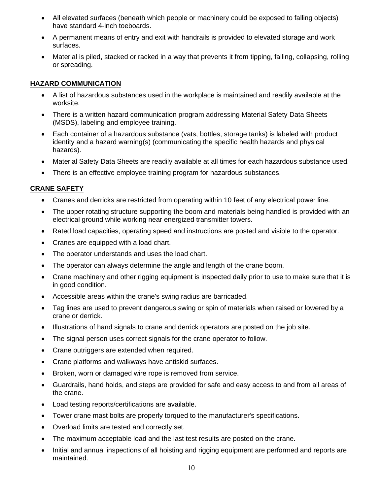- All elevated surfaces (beneath which people or machinery could be exposed to falling objects) have standard 4-inch toeboards.
- A permanent means of entry and exit with handrails is provided to elevated storage and work surfaces.
- Material is piled, stacked or racked in a way that prevents it from tipping, falling, collapsing, rolling or spreading.

# **HAZARD COMMUNICATION**

- A list of hazardous substances used in the workplace is maintained and readily available at the worksite.
- There is a written hazard communication program addressing Material Safety Data Sheets (MSDS), labeling and employee training.
- Each container of a hazardous substance (vats, bottles, storage tanks) is labeled with product identity and a hazard warning(s) (communicating the specific health hazards and physical hazards).
- Material Safety Data Sheets are readily available at all times for each hazardous substance used.
- There is an effective employee training program for hazardous substances.

# **CRANE SAFETY**

- Cranes and derricks are restricted from operating within 10 feet of any electrical power line.
- The upper rotating structure supporting the boom and materials being handled is provided with an electrical ground while working near energized transmitter towers.
- Rated load capacities, operating speed and instructions are posted and visible to the operator.
- Cranes are equipped with a load chart.
- The operator understands and uses the load chart.
- The operator can always determine the angle and length of the crane boom.
- Crane machinery and other rigging equipment is inspected daily prior to use to make sure that it is in good condition.
- Accessible areas within the crane's swing radius are barricaded.
- Tag lines are used to prevent dangerous swing or spin of materials when raised or lowered by a crane or derrick.
- Illustrations of hand signals to crane and derrick operators are posted on the job site.
- The signal person uses correct signals for the crane operator to follow.
- Crane outriggers are extended when required.
- Crane platforms and walkways have antiskid surfaces.
- Broken, worn or damaged wire rope is removed from service.
- Guardrails, hand holds, and steps are provided for safe and easy access to and from all areas of the crane.
- Load testing reports/certifications are available.
- Tower crane mast bolts are properly torqued to the manufacturer's specifications.
- Overload limits are tested and correctly set.
- The maximum acceptable load and the last test results are posted on the crane.
- Initial and annual inspections of all hoisting and rigging equipment are performed and reports are maintained.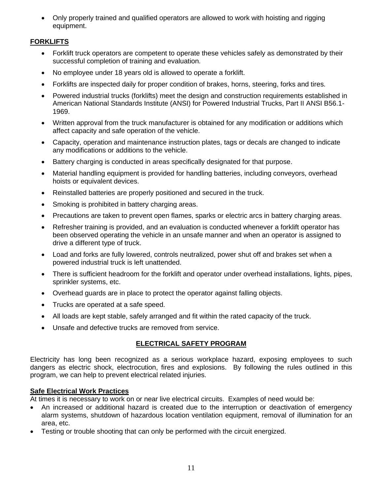• Only properly trained and qualified operators are allowed to work with hoisting and rigging equipment.

# **FORKLIFTS**

- Forklift truck operators are competent to operate these vehicles safely as demonstrated by their successful completion of training and evaluation.
- No employee under 18 years old is allowed to operate a forklift.
- Forklifts are inspected daily for proper condition of brakes, horns, steering, forks and tires.
- Powered industrial trucks (forklifts) meet the design and construction requirements established in American National Standards Institute (ANSI) for Powered Industrial Trucks, Part II ANSI B56.1- 1969.
- Written approval from the truck manufacturer is obtained for any modification or additions which affect capacity and safe operation of the vehicle.
- Capacity, operation and maintenance instruction plates, tags or decals are changed to indicate any modifications or additions to the vehicle.
- Battery charging is conducted in areas specifically designated for that purpose.
- Material handling equipment is provided for handling batteries, including conveyors, overhead hoists or equivalent devices.
- Reinstalled batteries are properly positioned and secured in the truck.
- Smoking is prohibited in battery charging areas.
- Precautions are taken to prevent open flames, sparks or electric arcs in battery charging areas.
- Refresher training is provided, and an evaluation is conducted whenever a forklift operator has been observed operating the vehicle in an unsafe manner and when an operator is assigned to drive a different type of truck.
- Load and forks are fully lowered, controls neutralized, power shut off and brakes set when a powered industrial truck is left unattended.
- There is sufficient headroom for the forklift and operator under overhead installations, lights, pipes, sprinkler systems, etc.
- Overhead guards are in place to protect the operator against falling objects.
- Trucks are operated at a safe speed.
- All loads are kept stable, safely arranged and fit within the rated capacity of the truck.
- Unsafe and defective trucks are removed from service.

# **ELECTRICAL SAFETY PROGRAM**

Electricity has long been recognized as a serious workplace hazard, exposing employees to such dangers as electric shock, electrocution, fires and explosions. By following the rules outlined in this program, we can help to prevent electrical related injuries.

#### **Safe Electrical Work Practices**

At times it is necessary to work on or near live electrical circuits. Examples of need would be:

- An increased or additional hazard is created due to the interruption or deactivation of emergency alarm systems, shutdown of hazardous location ventilation equipment, removal of illumination for an area, etc.
- Testing or trouble shooting that can only be performed with the circuit energized.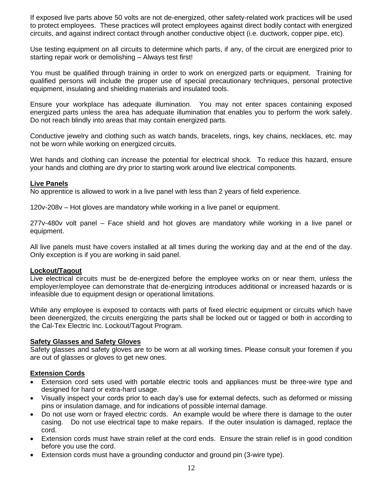If exposed live parts above 50 volts are not de-energized, other safety-related work practices will be used to protect employees. These practices will protect employees against direct bodily contact with energized circuits, and against indirect contact through another conductive object (i.e. ductwork, copper pipe, etc).

Use testing equipment on all circuits to determine which parts, if any, of the circuit are energized prior to starting repair work or demolishing – Always test first!

You must be qualified through training in order to work on energized parts or equipment. Training for qualified persons will include the proper use of special precautionary techniques, personal protective equipment, insulating and shielding materials and insulated tools.

Ensure your workplace has adequate illumination. You may not enter spaces containing exposed energized parts unless the area has adequate illumination that enables you to perform the work safely. Do not reach blindly into areas that may contain energized parts.

Conductive jewelry and clothing such as watch bands, bracelets, rings, key chains, necklaces, etc. may not be worn while working on energized circuits.

Wet hands and clothing can increase the potential for electrical shock. To reduce this hazard, ensure your hands and clothing are dry prior to starting work around live electrical components.

#### **Live Panels**

No apprentice is allowed to work in a live panel with less than 2 years of field experience.

120v-208v – Hot gloves are mandatory while working in a live panel or equipment.

277v-480v volt panel – Face shield and hot gloves are mandatory while working in a live panel or equipment.

All live panels must have covers installed at all times during the working day and at the end of the day. Only exception is if you are working in said panel.

#### **Lockout/Tagout**

Live electrical circuits must be de-energized before the employee works on or near them, unless the employer/employee can demonstrate that de-energizing introduces additional or increased hazards or is infeasible due to equipment design or operational limitations.

While any employee is exposed to contacts with parts of fixed electric equipment or circuits which have been deenergized, the circuits energizing the parts shall be locked out or tagged or both in according to the Cal-Tex Electric Inc. Lockout/Tagout Program.

#### **Safety Glasses and Safety Gloves**

Safety glasses and safety gloves are to be worn at all working times. Please consult your foremen if you are out of glasses or gloves to get new ones.

#### **Extension Cords**

- Extension cord sets used with portable electric tools and appliances must be three-wire type and designed for hard or extra-hard usage.
- Visually inspect your cords prior to each day's use for external defects, such as deformed or missing pins or insulation damage, and for indications of possible internal damage.
- Do not use worn or frayed electric cords. An example would be where there is damage to the outer casing. Do not use electrical tape to make repairs. If the outer insulation is damaged, replace the cord.
- Extension cords must have strain relief at the cord ends. Ensure the strain relief is in good condition before you use the cord.
- Extension cords must have a grounding conductor and ground pin (3-wire type).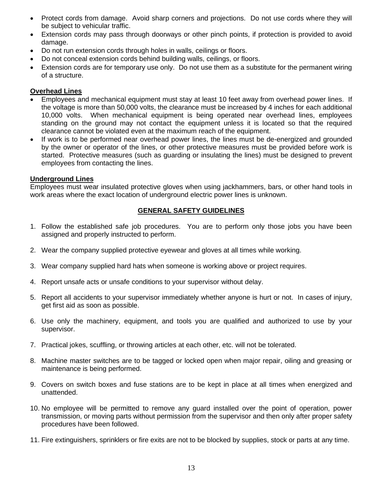- Protect cords from damage. Avoid sharp corners and projections. Do not use cords where they will be subject to vehicular traffic.
- Extension cords may pass through doorways or other pinch points, if protection is provided to avoid damage.
- Do not run extension cords through holes in walls, ceilings or floors.
- Do not conceal extension cords behind building walls, ceilings, or floors.
- Extension cords are for temporary use only. Do not use them as a substitute for the permanent wiring of a structure.

#### **Overhead Lines**

- Employees and mechanical equipment must stay at least 10 feet away from overhead power lines. If the voltage is more than 50,000 volts, the clearance must be increased by 4 inches for each additional 10,000 volts. When mechanical equipment is being operated near overhead lines, employees standing on the ground may not contact the equipment unless it is located so that the required clearance cannot be violated even at the maximum reach of the equipment.
- If work is to be performed near overhead power lines, the lines must be de-energized and grounded by the owner or operator of the lines, or other protective measures must be provided before work is started. Protective measures (such as guarding or insulating the lines) must be designed to prevent employees from contacting the lines.

#### **Underground Lines**

Employees must wear insulated protective gloves when using jackhammers, bars, or other hand tools in work areas where the exact location of underground electric power lines is unknown.

#### **GENERAL SAFETY GUIDELINES**

- 1. Follow the established safe job procedures. You are to perform only those jobs you have been assigned and properly instructed to perform.
- 2. Wear the company supplied protective eyewear and gloves at all times while working.
- 3. Wear company supplied hard hats when someone is working above or project requires.
- 4. Report unsafe acts or unsafe conditions to your supervisor without delay.
- 5. Report all accidents to your supervisor immediately whether anyone is hurt or not. In cases of injury, get first aid as soon as possible.
- 6. Use only the machinery, equipment, and tools you are qualified and authorized to use by your supervisor.
- 7. Practical jokes, scuffling, or throwing articles at each other, etc. will not be tolerated.
- 8. Machine master switches are to be tagged or locked open when major repair, oiling and greasing or maintenance is being performed.
- 9. Covers on switch boxes and fuse stations are to be kept in place at all times when energized and unattended.
- 10. No employee will be permitted to remove any guard installed over the point of operation, power transmission, or moving parts without permission from the supervisor and then only after proper safety procedures have been followed.
- 11. Fire extinguishers, sprinklers or fire exits are not to be blocked by supplies, stock or parts at any time.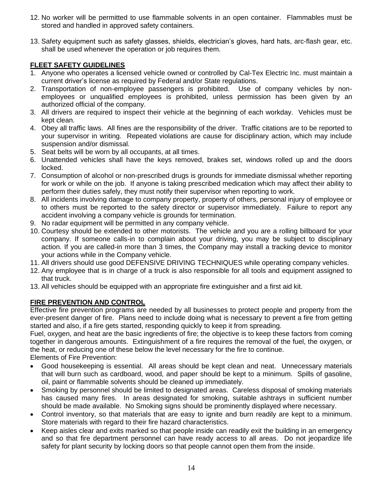- 12. No worker will be permitted to use flammable solvents in an open container. Flammables must be stored and handled in approved safety containers.
- 13. Safety equipment such as safety glasses, shields, electrician's gloves, hard hats, arc-flash gear, etc. shall be used whenever the operation or job requires them.

# **FLEET SAFETY GUIDELINES**

- 1. Anyone who operates a licensed vehicle owned or controlled by Cal-Tex Electric Inc. must maintain a current driver's license as required by Federal and/or State regulations.
- 2. Transportation of non-employee passengers is prohibited. Use of company vehicles by nonemployees or unqualified employees is prohibited, unless permission has been given by an authorized official of the company.
- 3. All drivers are required to inspect their vehicle at the beginning of each workday. Vehicles must be kept clean.
- 4. Obey all traffic laws. All fines are the responsibility of the driver. Traffic citations are to be reported to your supervisor in writing. Repeated violations are cause for disciplinary action, which may include suspension and/or dismissal.
- 5. Seat belts will be worn by all occupants, at all times.
- 6. Unattended vehicles shall have the keys removed, brakes set, windows rolled up and the doors locked.
- 7. Consumption of alcohol or non-prescribed drugs is grounds for immediate dismissal whether reporting for work or while on the job. If anyone is taking prescribed medication which may affect their ability to perform their duties safely, they must notify their supervisor when reporting to work.
- 8. All incidents involving damage to company property, property of others, personal injury of employee or to others must be reported to the safety director or supervisor immediately. Failure to report any accident involving a company vehicle is grounds for termination.
- 9. No radar equipment will be permitted in any company vehicle.
- 10. Courtesy should be extended to other motorists. The vehicle and you are a rolling billboard for your company. If someone calls-in to complain about your driving, you may be subject to disciplinary action. If you are called-in more than 3 times, the Company may install a tracking device to monitor your actions while in the Company vehicle.
- 11. All drivers should use good DEFENSIVE DRIVING TECHNIQUES while operating company vehicles.
- 12. Any employee that is in charge of a truck is also responsible for all tools and equipment assigned to that truck.
- 13. All vehicles should be equipped with an appropriate fire extinguisher and a first aid kit.

# **FIRE PREVENTION AND CONTROL**

Effective fire prevention programs are needed by all businesses to protect people and property from the ever-present danger of fire. Plans need to include doing what is necessary to prevent a fire from getting started and also, if a fire gets started, responding quickly to keep it from spreading.

Fuel, oxygen, and heat are the basic ingredients of fire; the objective is to keep these factors from coming together in dangerous amounts. Extinguishment of a fire requires the removal of the fuel, the oxygen, or the heat, or reducing one of these below the level necessary for the fire to continue.

Elements of Fire Prevention:

- Good housekeeping is essential. All areas should be kept clean and neat. Unnecessary materials that will burn such as cardboard, wood, and paper should be kept to a minimum. Spills of gasoline, oil, paint or flammable solvents should be cleaned up immediately.
- Smoking by personnel should be limited to designated areas. Careless disposal of smoking materials has caused many fires. In areas designated for smoking, suitable ashtrays in sufficient number should be made available. No Smoking signs should be prominently displayed where necessary.
- Control inventory, so that materials that are easy to ignite and burn readily are kept to a minimum. Store materials with regard to their fire hazard characteristics.
- Keep aisles clear and exits marked so that people inside can readily exit the building in an emergency and so that fire department personnel can have ready access to all areas. Do not jeopardize life safety for plant security by locking doors so that people cannot open them from the inside.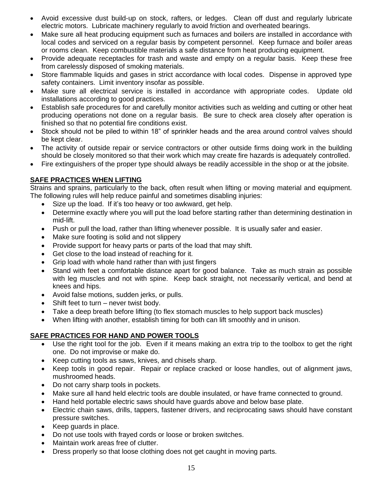- Avoid excessive dust build-up on stock, rafters, or ledges. Clean off dust and regularly lubricate electric motors. Lubricate machinery regularly to avoid friction and overheated bearings.
- Make sure all heat producing equipment such as furnaces and boilers are installed in accordance with local codes and serviced on a regular basis by competent personnel. Keep furnace and boiler areas or rooms clean. Keep combustible materials a safe distance from heat producing equipment.
- Provide adequate receptacles for trash and waste and empty on a regular basis. Keep these free from carelessly disposed of smoking materials.
- Store flammable liquids and gases in strict accordance with local codes. Dispense in approved type safety containers. Limit inventory insofar as possible.
- Make sure all electrical service is installed in accordance with appropriate codes. Update old installations according to good practices.
- Establish safe procedures for and carefully monitor activities such as welding and cutting or other heat producing operations not done on a regular basis. Be sure to check area closely after operation is finished so that no potential fire conditions exist.
- Stock should not be piled to within 18" of sprinkler heads and the area around control valves should be kept clear.
- The activity of outside repair or service contractors or other outside firms doing work in the building should be closely monitored so that their work which may create fire hazards is adequately controlled.
- Fire extinguishers of the proper type should always be readily accessible in the shop or at the jobsite.

# **SAFE PRACTICES WHEN LIFTING**

Strains and sprains, particularly to the back, often result when lifting or moving material and equipment. The following rules will help reduce painful and sometimes disabling injuries:

- Size up the load. If it's too heavy or too awkward, get help.
- Determine exactly where you will put the load before starting rather than determining destination in mid-lift.
- Push or pull the load, rather than lifting whenever possible. It is usually safer and easier.
- Make sure footing is solid and not slippery
- Provide support for heavy parts or parts of the load that may shift.
- Get close to the load instead of reaching for it.
- Grip load with whole hand rather than with just fingers
- Stand with feet a comfortable distance apart for good balance. Take as much strain as possible with leg muscles and not with spine. Keep back straight, not necessarily vertical, and bend at knees and hips.
- Avoid false motions, sudden jerks, or pulls.
- Shift feet to turn never twist body.
- Take a deep breath before lifting (to flex stomach muscles to help support back muscles)
- When lifting with another, establish timing for both can lift smoothly and in unison.

# **SAFE PRACTICES FOR HAND AND POWER TOOLS**

- Use the right tool for the job. Even if it means making an extra trip to the toolbox to get the right one. Do not improvise or make do.
- Keep cutting tools as saws, knives, and chisels sharp.
- Keep tools in good repair. Repair or replace cracked or loose handles, out of alignment jaws, mushroomed heads.
- Do not carry sharp tools in pockets.
- Make sure all hand held electric tools are double insulated, or have frame connected to ground.
- Hand held portable electric saws should have guards above and below base plate.
- Electric chain saws, drills, tappers, fastener drivers, and reciprocating saws should have constant pressure switches.
- Keep guards in place.
- Do not use tools with frayed cords or loose or broken switches.
- Maintain work areas free of clutter.
- Dress properly so that loose clothing does not get caught in moving parts.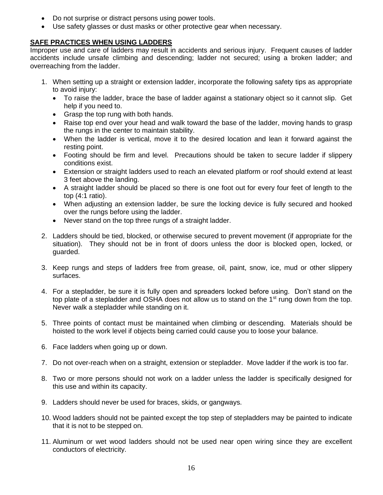- Do not surprise or distract persons using power tools.
- Use safety glasses or dust masks or other protective gear when necessary.

# **SAFE PRACTICES WHEN USING LADDERS**

Improper use and care of ladders may result in accidents and serious injury. Frequent causes of ladder accidents include unsafe climbing and descending; ladder not secured; using a broken ladder; and overreaching from the ladder.

- 1. When setting up a straight or extension ladder, incorporate the following safety tips as appropriate to avoid injury:
	- To raise the ladder, brace the base of ladder against a stationary object so it cannot slip. Get help if you need to.
	- Grasp the top rung with both hands.
	- Raise top end over your head and walk toward the base of the ladder, moving hands to grasp the rungs in the center to maintain stability.
	- When the ladder is vertical, move it to the desired location and lean it forward against the resting point.
	- Footing should be firm and level. Precautions should be taken to secure ladder if slippery conditions exist.
	- Extension or straight ladders used to reach an elevated platform or roof should extend at least 3 feet above the landing.
	- A straight ladder should be placed so there is one foot out for every four feet of length to the top (4:1 ratio).
	- When adjusting an extension ladder, be sure the locking device is fully secured and hooked over the rungs before using the ladder.
	- Never stand on the top three rungs of a straight ladder.
- 2. Ladders should be tied, blocked, or otherwise secured to prevent movement (if appropriate for the situation). They should not be in front of doors unless the door is blocked open, locked, or guarded.
- 3. Keep rungs and steps of ladders free from grease, oil, paint, snow, ice, mud or other slippery surfaces.
- 4. For a stepladder, be sure it is fully open and spreaders locked before using. Don't stand on the top plate of a stepladder and OSHA does not allow us to stand on the 1<sup>st</sup> rung down from the top. Never walk a stepladder while standing on it.
- 5. Three points of contact must be maintained when climbing or descending. Materials should be hoisted to the work level if objects being carried could cause you to loose your balance.
- 6. Face ladders when going up or down.
- 7. Do not over-reach when on a straight, extension or stepladder. Move ladder if the work is too far.
- 8. Two or more persons should not work on a ladder unless the ladder is specifically designed for this use and within its capacity.
- 9. Ladders should never be used for braces, skids, or gangways.
- 10. Wood ladders should not be painted except the top step of stepladders may be painted to indicate that it is not to be stepped on.
- 11. Aluminum or wet wood ladders should not be used near open wiring since they are excellent conductors of electricity.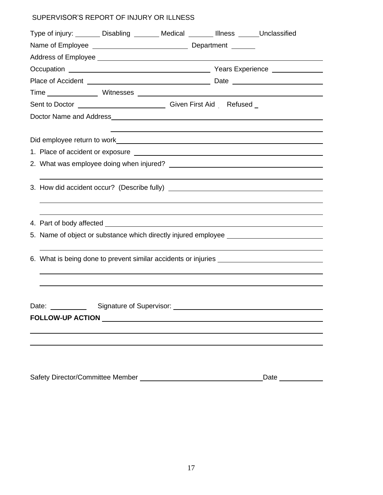# SUPERVISOR'S REPORT OF INJURY OR ILLNESS

| Type of injury: ________ Disabling _______ Medical _______ Illness ______ Unclassified |                                                                                   |                                                                                   |  |                                                                                  |  |  |
|----------------------------------------------------------------------------------------|-----------------------------------------------------------------------------------|-----------------------------------------------------------------------------------|--|----------------------------------------------------------------------------------|--|--|
|                                                                                        |                                                                                   |                                                                                   |  |                                                                                  |  |  |
|                                                                                        |                                                                                   |                                                                                   |  |                                                                                  |  |  |
|                                                                                        |                                                                                   |                                                                                   |  |                                                                                  |  |  |
|                                                                                        |                                                                                   |                                                                                   |  |                                                                                  |  |  |
|                                                                                        |                                                                                   |                                                                                   |  |                                                                                  |  |  |
| Sent to Doctor __________________________________Given First Aid Refused _             |                                                                                   |                                                                                   |  |                                                                                  |  |  |
|                                                                                        |                                                                                   |                                                                                   |  |                                                                                  |  |  |
|                                                                                        |                                                                                   | ,我们也不会有一个人的人,我们也不会有一个人的人,我们也不会有一个人的人。""我们,我们也不会有一个人的人,我们也不会有一个人的人,我们也不会有一个人的人。""我 |  |                                                                                  |  |  |
|                                                                                        |                                                                                   |                                                                                   |  |                                                                                  |  |  |
|                                                                                        |                                                                                   |                                                                                   |  |                                                                                  |  |  |
|                                                                                        |                                                                                   |                                                                                   |  |                                                                                  |  |  |
|                                                                                        |                                                                                   |                                                                                   |  |                                                                                  |  |  |
|                                                                                        |                                                                                   |                                                                                   |  |                                                                                  |  |  |
|                                                                                        |                                                                                   |                                                                                   |  |                                                                                  |  |  |
|                                                                                        |                                                                                   |                                                                                   |  |                                                                                  |  |  |
|                                                                                        |                                                                                   |                                                                                   |  |                                                                                  |  |  |
|                                                                                        |                                                                                   |                                                                                   |  | 5. Name of object or substance which directly injured employee _________________ |  |  |
|                                                                                        |                                                                                   |                                                                                   |  |                                                                                  |  |  |
|                                                                                        | 6. What is being done to prevent similar accidents or injuries __________________ |                                                                                   |  |                                                                                  |  |  |
|                                                                                        |                                                                                   |                                                                                   |  |                                                                                  |  |  |
|                                                                                        |                                                                                   |                                                                                   |  |                                                                                  |  |  |
|                                                                                        |                                                                                   |                                                                                   |  |                                                                                  |  |  |
| Date:                                                                                  | Signature of Supervisor: _____                                                    |                                                                                   |  |                                                                                  |  |  |
| FOLLOW-UP ACTION AND ACTION                                                            |                                                                                   |                                                                                   |  |                                                                                  |  |  |
|                                                                                        |                                                                                   |                                                                                   |  |                                                                                  |  |  |
|                                                                                        |                                                                                   |                                                                                   |  |                                                                                  |  |  |
|                                                                                        |                                                                                   |                                                                                   |  |                                                                                  |  |  |

| Safety Director/Committee Member | Date |  |
|----------------------------------|------|--|
|                                  |      |  |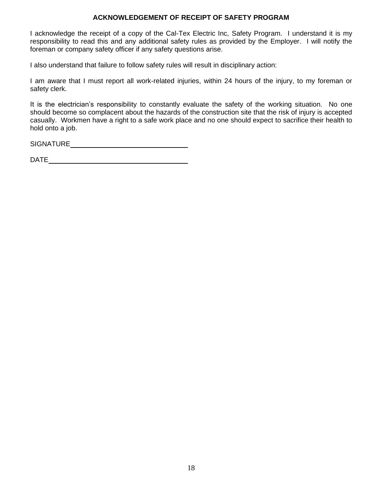#### **ACKNOWLEDGEMENT OF RECEIPT OF SAFETY PROGRAM**

I acknowledge the receipt of a copy of the Cal-Tex Electric Inc, Safety Program. I understand it is my responsibility to read this and any additional safety rules as provided by the Employer. I will notify the foreman or company safety officer if any safety questions arise.

I also understand that failure to follow safety rules will result in disciplinary action:

I am aware that I must report all work-related injuries, within 24 hours of the injury, to my foreman or safety clerk.

It is the electrician's responsibility to constantly evaluate the safety of the working situation. No one should become so complacent about the hazards of the construction site that the risk of injury is accepted casually. Workmen have a right to a safe work place and no one should expect to sacrifice their health to hold onto a job.

SIGNATURE

DATE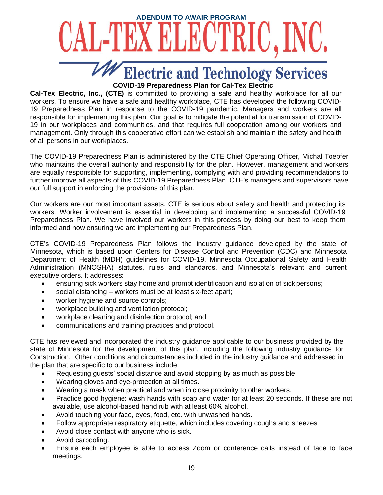

**Cal-Tex Electric, Inc., (CTE)** is committed to providing a safe and healthy workplace for all our workers. To ensure we have a safe and healthy workplace, CTE has developed the following COVID-19 Preparedness Plan in response to the COVID-19 pandemic. Managers and workers are all responsible for implementing this plan. Our goal is to mitigate the potential for transmission of COVID-19 in our workplaces and communities, and that requires full cooperation among our workers and management. Only through this cooperative effort can we establish and maintain the safety and health of all persons in our workplaces.

The COVID-19 Preparedness Plan is administered by the CTE Chief Operating Officer, Michal Toepfer who maintains the overall authority and responsibility for the plan. However, management and workers are equally responsible for supporting, implementing, complying with and providing recommendations to further improve all aspects of this COVID-19 Preparedness Plan. CTE's managers and supervisors have our full support in enforcing the provisions of this plan.

Our workers are our most important assets. CTE is serious about safety and health and protecting its workers. Worker involvement is essential in developing and implementing a successful COVID-19 Preparedness Plan. We have involved our workers in this process by doing our best to keep them informed and now ensuring we are implementing our Preparedness Plan.

CTE's COVID-19 Preparedness Plan follows the industry guidance developed by the state of Minnesota, which is based upon Centers for Disease Control and Prevention (CDC) and Minnesota Department of Health (MDH) guidelines for COVID-19, Minnesota Occupational Safety and Health Administration (MNOSHA) statutes, rules and standards, and Minnesota's relevant and current executive orders. It addresses:

- ensuring sick workers stay home and prompt identification and isolation of sick persons;
- social distancing workers must be at least six-feet apart;
- worker hygiene and source controls;
- workplace building and ventilation protocol;
- workplace cleaning and disinfection protocol; and
- communications and training practices and protocol.

CTE has reviewed and incorporated the industry guidance applicable to our business provided by the state of Minnesota for the development of this plan, including the following industry guidance for Construction. Other conditions and circumstances included in the industry guidance and addressed in the plan that are specific to our business include:

- Requesting guests' social distance and avoid stopping by as much as possible.
- Wearing gloves and eye-protection at all times.
- Wearing a mask when practical and when in close proximity to other workers.
- Practice good hygiene: wash hands with soap and water for at least 20 seconds. If these are not available, use alcohol-based hand rub with at least 60% alcohol.
- Avoid touching your face, eyes, food, etc. with unwashed hands.
- Follow appropriate respiratory etiquette, which includes covering coughs and sneezes
- Avoid close contact with anyone who is sick.
- Avoid carpooling.
- Ensure each employee is able to access Zoom or conference calls instead of face to face meetings.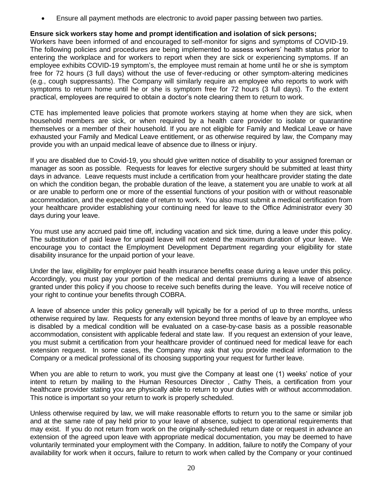• Ensure all payment methods are electronic to avoid paper passing between two parties.

#### **Ensure sick workers stay home and prompt identification and isolation of sick persons;**

Workers have been informed of and encouraged to self-monitor for signs and symptoms of COVID-19. The following policies and procedures are being implemented to assess workers' health status prior to entering the workplace and for workers to report when they are sick or experiencing symptoms. If an employee exhibits COVID-19 symptom's, the employee must remain at home until he or she is symptom free for 72 hours (3 full days) without the use of fever-reducing or other symptom-altering medicines (e.g., cough suppressants). The Company will similarly require an employee who reports to work with symptoms to return home until he or she is symptom free for 72 hours (3 full days). To the extent practical, employees are required to obtain a doctor's note clearing them to return to work.

CTE has implemented leave policies that promote workers staying at home when they are sick, when household members are sick, or when required by a health care provider to isolate or quarantine themselves or a member of their household. If you are not eligible for Family and Medical Leave or have exhausted your Family and Medical Leave entitlement, or as otherwise required by law, the Company may provide you with an unpaid medical leave of absence due to illness or injury.

If you are disabled due to Covid-19, you should give written notice of disability to your assigned foreman or manager as soon as possible. Requests for leaves for elective surgery should be submitted at least thirty days in advance. Leave requests must include a certification from your healthcare provider stating the date on which the condition began, the probable duration of the leave, a statement you are unable to work at all or are unable to perform one or more of the essential functions of your position with or without reasonable accommodation, and the expected date of return to work. You also must submit a medical certification from your healthcare provider establishing your continuing need for leave to the Office Administrator every 30 days during your leave.

You must use any accrued paid time off, including vacation and sick time, during a leave under this policy. The substitution of paid leave for unpaid leave will not extend the maximum duration of your leave. We encourage you to contact the Employment Development Department regarding your eligibility for state disability insurance for the unpaid portion of your leave.

Under the law, eligibility for employer paid health insurance benefits cease during a leave under this policy. Accordingly, you must pay your portion of the medical and dental premiums during a leave of absence granted under this policy if you choose to receive such benefits during the leave. You will receive notice of your right to continue your benefits through COBRA.

A leave of absence under this policy generally will typically be for a period of up to three months, unless otherwise required by law. Requests for any extension beyond three months of leave by an employee who is disabled by a medical condition will be evaluated on a case-by-case basis as a possible reasonable accommodation, consistent with applicable federal and state law. If you request an extension of your leave, you must submit a certification from your healthcare provider of continued need for medical leave for each extension request. In some cases, the Company may ask that you provide medical information to the Company or a medical professional of its choosing supporting your request for further leave.

When you are able to return to work, you must give the Company at least one (1) weeks' notice of your intent to return by mailing to the Human Resources Director , Cathy Theis, a certification from your healthcare provider stating you are physically able to return to your duties with or without accommodation. This notice is important so your return to work is properly scheduled.

Unless otherwise required by law, we will make reasonable efforts to return you to the same or similar job and at the same rate of pay held prior to your leave of absence, subject to operational requirements that may exist. If you do not return from work on the originally-scheduled return date or request in advance an extension of the agreed upon leave with appropriate medical documentation, you may be deemed to have voluntarily terminated your employment with the Company. In addition, failure to notify the Company of your availability for work when it occurs, failure to return to work when called by the Company or your continued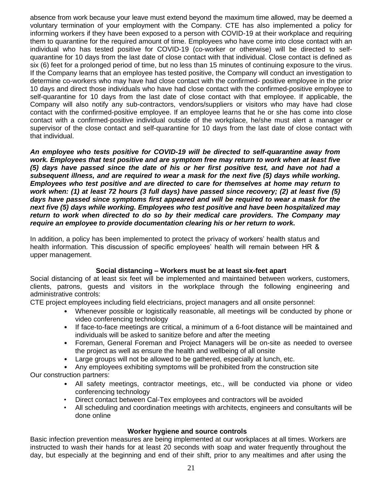absence from work because your leave must extend beyond the maximum time allowed, may be deemed a voluntary termination of your employment with the Company. CTE has also implemented a policy for informing workers if they have been exposed to a person with COVID-19 at their workplace and requiring them to quarantine for the required amount of time. Employees who have come into close contact with an individual who has tested positive for COVID-19 (co-worker or otherwise) will be directed to selfquarantine for 10 days from the last date of close contact with that individual. Close contact is defined as six (6) feet for a prolonged period of time, but no less than 15 minutes of continuing exposure to the virus. If the Company learns that an employee has tested positive, the Company will conduct an investigation to determine co-workers who may have had close contact with the confirmed- positive employee in the prior 10 days and direct those individuals who have had close contact with the confirmed-positive employee to self-quarantine for 10 days from the last date of close contact with that employee. If applicable, the Company will also notify any sub-contractors, vendors/suppliers or visitors who may have had close contact with the confirmed-positive employee. If an employee learns that he or she has come into close contact with a confirmed-positive individual outside of the workplace, he/she must alert a manager or supervisor of the close contact and self-quarantine for 10 days from the last date of close contact with that individual.

*An employee who tests positive for COVID-19 will be directed to self-quarantine away from work. Employees that test positive and are symptom free may return to work when at least five (5) days have passed since the date of his or her first positive test, and have not had a subsequent illness, and are required to wear a mask for the next five (5) days while working. Employees who test positive and are directed to care for themselves at home may return to work when: (1) at least 72 hours (3 full days) have passed since recovery; (2) at least five (5) days have passed since symptoms first appeared and will be required to wear a mask for the next five (5) days while working. Employees who test positive and have been hospitalized may return to work when directed to do so by their medical care providers. The Company may require an employee to provide documentation clearing his or her return to work.*

In addition, a policy has been implemented to protect the privacy of workers' health status and health information. This discussion of specific employees' health will remain between HR & upper management.

#### **Social distancing – Workers must be at least six-feet apart**

Social distancing of at least six feet will be implemented and maintained between workers, customers, clients, patrons, guests and visitors in the workplace through the following engineering and administrative controls:

CTE project employees including field electricians, project managers and all onsite personnel:

- Whenever possible or logistically reasonable, all meetings will be conducted by phone or video conferencing technology
- If face-to-face meetings are critical, a minimum of a 6-foot distance will be maintained and individuals will be asked to sanitize before and after the meeting
- Foreman, General Foreman and Project Managers will be on-site as needed to oversee the project as well as ensure the health and wellbeing of all onsite
- Large groups will not be allowed to be gathered, especially at lunch, etc.
- Any employees exhibiting symptoms will be prohibited from the construction site

Our construction partners:

- All safety meetings, contractor meetings, etc., will be conducted via phone or video conferencing technology
- Direct contact between Cal-Tex employees and contractors will be avoided
- All scheduling and coordination meetings with architects, engineers and consultants will be done online

#### **Worker hygiene and source controls**

Basic infection prevention measures are being implemented at our workplaces at all times. Workers are instructed to wash their hands for at least 20 seconds with soap and water frequently throughout the day, but especially at the beginning and end of their shift, prior to any mealtimes and after using the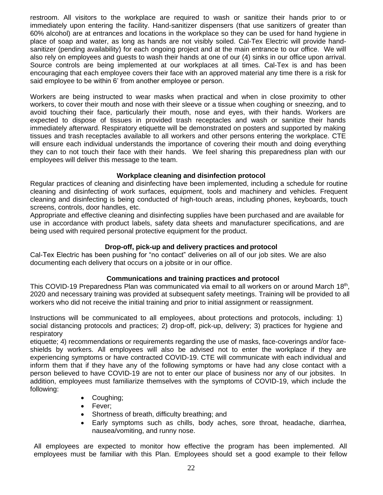restroom. All visitors to the workplace are required to wash or sanitize their hands prior to or immediately upon entering the facility. Hand-sanitizer dispensers (that use sanitizers of greater than 60% alcohol) are at entrances and locations in the workplace so they can be used for hand hygiene in place of soap and water, as long as hands are not visibly soiled. Cal-Tex Electric will provide handsanitizer (pending availability) for each ongoing project and at the main entrance to our office. We will also rely on employees and guests to wash their hands at one of our (4) sinks in our office upon arrival. Source controls are being implemented at our workplaces at all times. Cal-Tex is and has been encouraging that each employee covers their face with an approved material any time there is a risk for said employee to be within 6' from another employee or person.

Workers are being instructed to wear masks when practical and when in close proximity to other workers, to cover their mouth and nose with their sleeve or a tissue when coughing or sneezing, and to avoid touching their face, particularly their mouth, nose and eyes, with their hands. Workers are expected to dispose of tissues in provided trash receptacles and wash or sanitize their hands immediately afterward. Respiratory etiquette will be demonstrated on posters and supported by making tissues and trash receptacles available to all workers and other persons entering the workplace. CTE will ensure each individual understands the importance of covering their mouth and doing everything they can to not touch their face with their hands. We feel sharing this preparedness plan with our employees will deliver this message to the team.

#### **Workplace cleaning and disinfection protocol**

Regular practices of cleaning and disinfecting have been implemented, including a schedule for routine cleaning and disinfecting of work surfaces, equipment, tools and machinery and vehicles. Frequent cleaning and disinfecting is being conducted of high-touch areas, including phones, keyboards, touch screens, controls, door handles, etc.

Appropriate and effective cleaning and disinfecting supplies have been purchased and are available for use in accordance with product labels, safety data sheets and manufacturer specifications, and are being used with required personal protective equipment for the product.

#### **Drop-off, pick-up and delivery practices and protocol**

Cal-Tex Electric has been pushing for "no contact" deliveries on all of our job sites. We are also documenting each delivery that occurs on a jobsite or in our office.

#### **Communications and training practices and protocol**

This COVID-19 Preparedness Plan was communicated via email to all workers on or around March 18<sup>th</sup>, 2020 and necessary training was provided at subsequent safety meetings. Training will be provided to all workers who did not receive the initial training and prior to initial assignment or reassignment.

Instructions will be communicated to all employees, about protections and protocols, including: 1) social distancing protocols and practices; 2) drop-off, pick-up, delivery; 3) practices for hygiene and respiratory

etiquette; 4) recommendations or requirements regarding the use of masks, face-coverings and/or faceshields by workers. All employees will also be advised not to enter the workplace if they are experiencing symptoms or have contracted COVID-19. CTE will communicate with each individual and inform them that if they have any of the following symptoms or have had any close contact with a person believed to have COVID-19 are not to enter our place of business nor any of our jobsites. In addition, employees must familiarize themselves with the symptoms of COVID-19, which include the following:

- Coughing;
- Fever;
- Shortness of breath, difficulty breathing; and
- Early symptoms such as chills, body aches, sore throat, headache, diarrhea, nausea/vomiting, and runny nose.

All employees are expected to monitor how effective the program has been implemented. All employees must be familiar with this Plan. Employees should set a good example to their fellow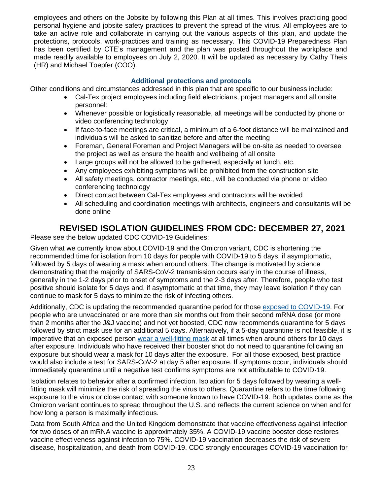employees and others on the Jobsite by following this Plan at all times. This involves practicing good personal hygiene and jobsite safety practices to prevent the spread of the virus. All employees are to take an active role and collaborate in carrying out the various aspects of this plan, and update the protections, protocols, work-practices and training as necessary. This COVID-19 Preparedness Plan has been certified by CTE's management and the plan was posted throughout the workplace and made readily available to employees on July 2, 2020. It will be updated as necessary by Cathy Theis (HR) and Michael Toepfer (COO).

## **Additional protections and protocols**

Other conditions and circumstances addressed in this plan that are specific to our business include:

- Cal-Tex project employees including field electricians, project managers and all onsite personnel:
- Whenever possible or logistically reasonable, all meetings will be conducted by phone or video conferencing technology
- If face-to-face meetings are critical, a minimum of a 6-foot distance will be maintained and individuals will be asked to sanitize before and after the meeting
- Foreman, General Foreman and Project Managers will be on-site as needed to oversee the project as well as ensure the health and wellbeing of all onsite
- Large groups will not be allowed to be gathered, especially at lunch, etc.
- Any employees exhibiting symptoms will be prohibited from the construction site
- All safety meetings, contractor meetings, etc., will be conducted via phone or video conferencing technology
- Direct contact between Cal-Tex employees and contractors will be avoided
- All scheduling and coordination meetings with architects, engineers and consultants will be done online

# **REVISED ISOLATION GUIDELINES FROM CDC: DECEMBER 27, 2021**

Please see the below updated CDC COVID-19 Guidelines:

Given what we currently know about COVID-19 and the Omicron variant, CDC is shortening the recommended time for isolation from 10 days for people with COVID-19 to 5 days, if asymptomatic, followed by 5 days of wearing a mask when around others. The change is motivated by science demonstrating that the majority of SARS-CoV-2 transmission occurs early in the course of illness, generally in the 1-2 days prior to onset of symptoms and the 2-3 days after. Therefore, people who test positive should isolate for 5 days and, if asymptomatic at that time, they may leave isolation if they can continue to mask for 5 days to minimize the risk of infecting others.

Additionally, CDC is updating the recommended quarantine period for those [exposed to COVID-19.](https://www.cdc.gov/coronavirus/2019-ncov/your-health/quarantine-isolation.html#closecontact) For people who are unvaccinated or are more than six months out from their second mRNA dose (or more than 2 months after the J&J vaccine) and not yet boosted, CDC now recommends quarantine for 5 days followed by strict mask use for an additional 5 days. Alternatively, if a 5-day quarantine is not feasible, it is imperative that an exposed person [wear a well-fitting mask](https://www.cdc.gov/coronavirus/2019-ncov/your-health/effective-masks.html) at all times when around others for 10 days after exposure. Individuals who have received their booster shot do not need to quarantine following an exposure but should wear a mask for 10 days after the exposure. For all those exposed, best practice would also include a test for SARS-CoV-2 at day 5 after exposure. If symptoms occur, individuals should immediately quarantine until a negative test confirms symptoms are not attributable to COVID-19.

Isolation relates to behavior after a confirmed infection. Isolation for 5 days followed by wearing a wellfitting mask will minimize the risk of spreading the virus to others. Quarantine refers to the time following exposure to the virus or close contact with someone known to have COVID-19. Both updates come as the Omicron variant continues to spread throughout the U.S. and reflects the current science on when and for how long a person is maximally infectious.

Data from South Africa and the United Kingdom demonstrate that vaccine effectiveness against infection for two doses of an mRNA vaccine is approximately 35%. A COVID-19 vaccine booster dose restores vaccine effectiveness against infection to 75%. COVID-19 vaccination decreases the risk of severe disease, hospitalization, and death from COVID-19. CDC strongly encourages COVID-19 vaccination for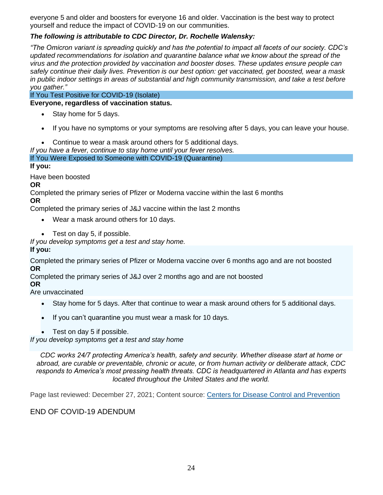everyone 5 and older and boosters for everyone 16 and older. Vaccination is the best way to protect yourself and reduce the impact of COVID-19 on our communities.

# *The following is attributable to CDC Director, Dr. Rochelle Walensky:*

*"The Omicron variant is spreading quickly and has the potential to impact all facets of our society. CDC's updated recommendations for isolation and quarantine balance what we know about the spread of the virus and the protection provided by vaccination and booster doses. These updates ensure people can safely continue their daily lives. Prevention is our best option: get vaccinated, get boosted, wear a mask in public indoor settings in areas of substantial and high community transmission, and take a test before you gather."*

If You Test Positive for COVID-19 (Isolate)

#### **Everyone, regardless of vaccination status.**

- Stay home for 5 days.
- If you have no symptoms or your symptoms are resolving after 5 days, you can leave your house.
- Continue to wear a mask around others for 5 additional days.
- *If you have a fever, continue to stay home until your fever resolves.*

If You Were Exposed to Someone with COVID-19 (Quarantine)

#### **If you:**

Have been boosted

#### **OR**

Completed the primary series of Pfizer or Moderna vaccine within the last 6 months **OR**

Completed the primary series of J&J vaccine within the last 2 months

- Wear a mask around others for 10 days.
- Test on day 5, if possible.

*If you develop symptoms get a test and stay home.*

# **If you:**

Completed the primary series of Pfizer or Moderna vaccine over 6 months ago and are not boosted **OR**

Completed the primary series of J&J over 2 months ago and are not boosted

#### **OR**

Are unvaccinated

- Stay home for 5 days. After that continue to wear a mask around others for 5 additional days.
- If you can't quarantine you must wear a mask for 10 days.
- Test on day 5 if possible.

*If you develop symptoms get a test and stay home*

*CDC works 24/7 protecting America's health, safety and security. Whether disease start at home or abroad, are curable or preventable, chronic or acute, or from human activity or deliberate attack, CDC responds to America's most pressing health threats. CDC is headquartered in Atlanta and has experts located throughout the United States and the world.*

Page last reviewed: December 27, 2021; Content source: [Centers for Disease Control and Prevention](https://www.cdc.gov/)

# END OF COVID-19 ADENDUM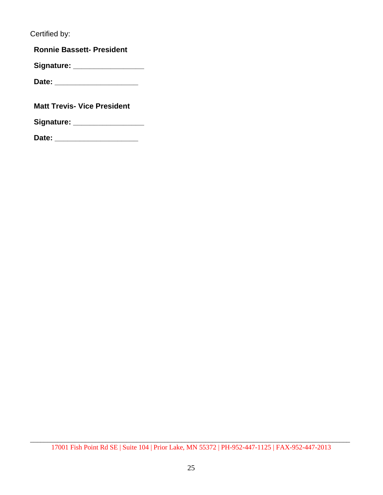Certified by:

**Ronnie Bassett- President**

**Signature: \_\_\_\_\_\_\_\_\_\_\_\_\_\_\_\_\_**

**Date: \_\_\_\_\_\_\_\_\_\_\_\_\_\_\_\_\_\_\_\_**

**Matt Trevis- Vice President**

**Signature: \_\_\_\_\_\_\_\_\_\_\_\_\_\_\_\_\_**

**Date: \_\_\_\_\_\_\_\_\_\_\_\_\_\_\_\_\_\_\_\_**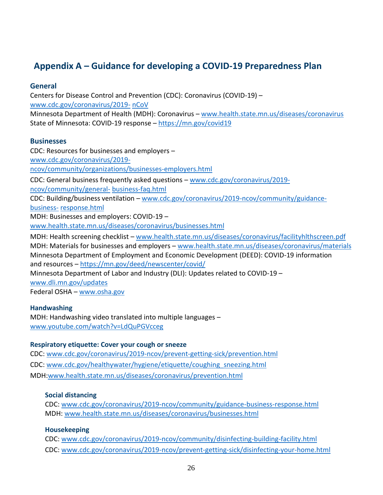# **Appendix A – Guidance for developing a COVID-19 Preparedness Plan**

## **General**

Centers for Disease Control and Prevention (CDC): Coronavirus (COVID-19) – www.cdc.gov/coronavirus/2019- nCoV Minnesota Department of Health (MDH): Coronavirus – www.health.state.mn.us/diseases/coronavirus State of Minnesota: COVID-19 response – https://mn.gov/covid19

## **Businesses**

CDC: Resources for businesses and employers – www.cdc.gov/coronavirus/2019 ncov/community/organizations/businesses-employers.html CDC: General business frequently asked questions – www.cdc.gov/coronavirus/2019 ncov/community/general- business-faq.html CDC: Building/business ventilation – www.cdc.gov/coronavirus/2019-ncov/community/guidancebusiness- response.html MDH: Businesses and employers: COVID-19 – www.health.state.mn.us/diseases/coronavirus/businesses.html MDH: Health screening checklist – www.health.state.mn.us/diseases/coronavirus/facilityhlthscreen.pdf MDH: Materials for businesses and employers – www.health.state.mn.us/diseases/coronavirus/materials Minnesota Department of Employment and Economic Development (DEED): COVID-19 information and resources – https://mn.gov/deed/newscenter/covid/ Minnesota Department of Labor and Industry (DLI): Updates related to COVID-19 – www.dli.mn.gov/updates Federal OSHA – www.osha.gov

#### **Handwashing**

MDH: Handwashing video translated into multiple languages – www.youtube.com/watch?v=LdQuPGVcceg

#### **Respiratory etiquette: Cover your cough or sneeze**

CDC: www.cdc.gov/coronavirus/2019-ncov/prevent-getting-sick/prevention.html CDC: www.cdc.gov/healthywater/hygiene/etiquette/coughing\_sneezing.html MDH:www.health.state.mn.us/diseases/coronavirus/prevention.html

# **Social distancing**

CDC: www.cdc.gov/coronavirus/2019-ncov/community/guidance-business-response.html MDH: www.health.state.mn.us/diseases/coronavirus/businesses.html

# **Housekeeping**

CDC: www.cdc.gov/coronavirus/2019-ncov/community/disinfecting-building-facility.html CDC: www.cdc.gov/coronavirus/2019-ncov/prevent-getting-sick/disinfecting-your-home.html